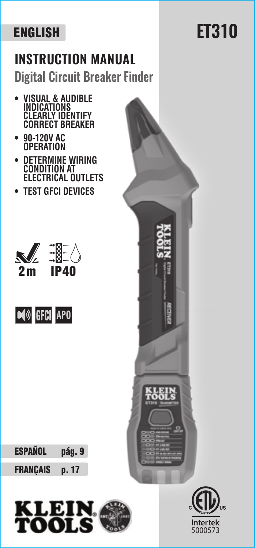## **INSTRUCTION MANUAL Digital Circuit Breaker Finder**

- **VISUAL & AUDIBLE INDICATIONS CLEARLY IDENTIFY CORRECT BREAKER**
- **90-120V AC OPERATION**
- **DETERMINE WIRING CONDITION AT ELECTRICAL OUTLETS**
- **TEST GFCI DEVICES**







FRANÇAIS p. 17





## **ET310**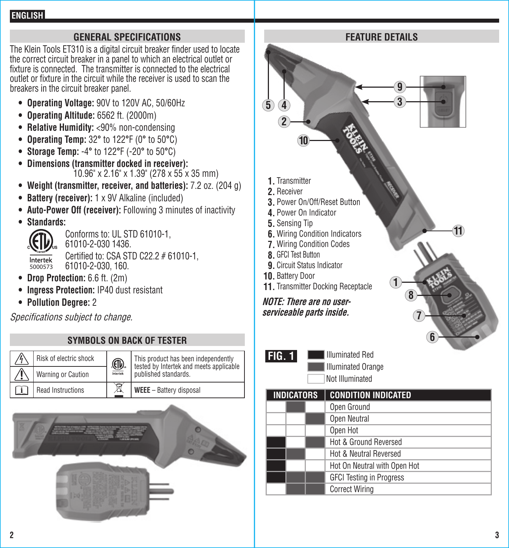#### **GENERAL SPECIFICATIONS**

The Klein Tools ET310 is a digital circuit breaker finder used to locate the correct circuit breaker in a panel to which an electrical outlet or fixture is connected. The transmitter is connected to the electrical outlet or fixture in the circuit while the receiver is used to scan the breakers in the circuit breaker panel.

- **Operating Voltage:** 90V to 120V AC, 50/60Hz
- **Operating Altitude:** 6562 ft. (2000m)
- **Relative Humidity:** <90% non-condensing
- **Operating Temp:** 32**°** to 122**°**F (0**°** to 50**°**C)
- **Storage Temp:** -4**°** to 122**°**F (-20**°** to 50**°**C)
- **Dimensions (transmitter docked in receiver):**   $10.96$ " x 2.16" x 1.39" (278 x 55 x 35 mm)
- **Weight (transmitter, receiver, and batteries):** 7.2 oz. (204 g)
- **Battery (receiver):** 1 x 9V Alkaline (included)
- **Auto-Power Off (receiver):** Following 3 minutes of inactivity
- **Standards:**



 Conforms to: UL STD 61010-1, 61010-2-030 1436.  $\frac{1}{\text{Interest}}$  Certified to: CSA STD C22.2 # 61010-1, 61010-2-030, 160.

- **Drop Protection:** 6.6 ft. (2m)
- **Ingress Protection:** IP40 dust resistant
- **Pollution Degree:** 2

Specifications subject to change.

| <b>SYMBOLS ON BACK OF TESTER</b> |                          |                        |                                                                                                        |  |  |  |
|----------------------------------|--------------------------|------------------------|--------------------------------------------------------------------------------------------------------|--|--|--|
|                                  | Risk of electric shock   | $\bigoplus$<br>ntertek | This product has been independently<br>tested by Intertek and meets applicable<br>published standards. |  |  |  |
|                                  | Warning or Caution       |                        |                                                                                                        |  |  |  |
|                                  | <b>Read Instructions</b> |                        | WEEE - Battery disposal                                                                                |  |  |  |



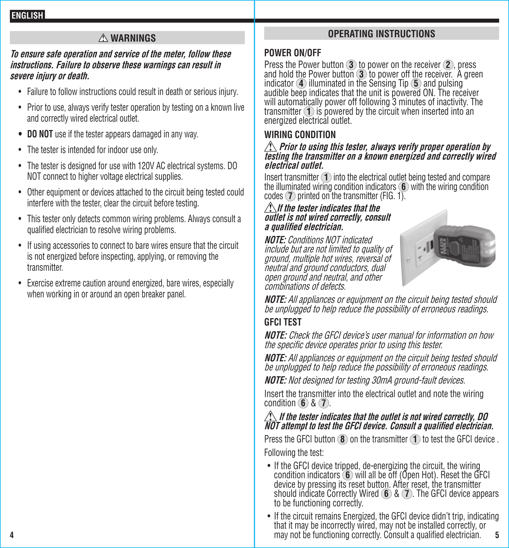#### **WARNINGS**

#### **To ensure safe operation and service of the meter, follow these instructions. Failure to observe these warnings can result in severe injury or death.**

- Failure to follow instructions could result in death or serious injury.
- Prior to use, always verify tester operation by testing on a known live and correctly wired electrical outlet.
- **• DO NOT** use if the tester appears damaged in any way.
- The tester is intended for indoor use only.
- The tester is designed for use with 120V AC electrical systems. DO NOT connect to higher voltage electrical supplies.
- Other equipment or devices attached to the circuit being tested could interfere with the tester, clear the circuit before testing.
- This tester only detects common wiring problems. Always consult a qualified electrician to resolve wiring problems.
- If using accessories to connect to bare wires ensure that the circuit is not energized before inspecting, applying, or removing the transmitter.
- Exercise extreme caution around energized, bare wires, especially when working in or around an open breaker panel.

#### **OPERATING INSTRUCTIONS**

#### **POWER ON/OFF**

Press the Power button **3** to power on the receiver **2** , press and hold the Power button  $\overline{3}$  to power off the receiver. A green indicator  $\overline{4}$  illuminated in the Sensing Tip  $\overline{5}$  and pulsing audible beep indicates that the unit is powered ON. The receiver will automatically power off following 3 minutes of inactivity. The transmitter **1** is powered by the circuit when inserted into an energized electrical outlet.

#### **WIRING CONDITION**

### **Prior to using this tester, always verify proper operation by testing the transmitter on a known energized and correctly wired electrical outlet.**

Insert transmitter **1** into the electrical outlet being tested and compare the illuminated wiring condition indicators **6** with the wiring condition codes **7** printed on the transmitter (FIG. 1).

#### **If the tester indicates that the outlet is not wired correctly, consult a qualified electrician.**

**NOTE:** Conditions NOT indicated include but are not limited to quality of ground, multiple hot wires, reversal of neutral and ground conductors, dual open ground and neutral, and other combinations of defects.



**NOTE:** All appliances or equipment on the circuit being tested should be unplugged to help reduce the possibility of erroneous readings.

### **GFCI TEST**

**NOTE:** Check the GFCI device's user manual for information on how the specific device operates prior to using this tester.

**NOTE:** All appliances or equipment on the circuit being tested should be unplugged to help reduce the possibility of erroneous readings.

**NOTE:** Not designed for testing 30mA ground-fault devices.

Insert the transmitter into the electrical outlet and note the wiring condition **6** & **7** .

# **If the tester indicates that the outlet is not wired correctly, DO NOT attempt to test the GFCI device. Consult a qualified electrician.**

Press the GFCI button **8** on the transmitter **1** to test the GFCI device . Following the test:

- If the GFCI device tripped, de-energizing the circuit, the wiring condition indicators  $(6)$  will all be off (Open Hot). Reset the GFCI device by pressing its reset button. After reset, the transmitter should indicate Correctly Wired **6** & **7** . The GFCI device appears to be functioning correctly.
- **4 5** may not be functioning correctly. Consult a qualified electrician. • If the circuit remains Energized, the GFCI device didn't trip, indicating that it may be incorrectly wired, may not be installed correctly, or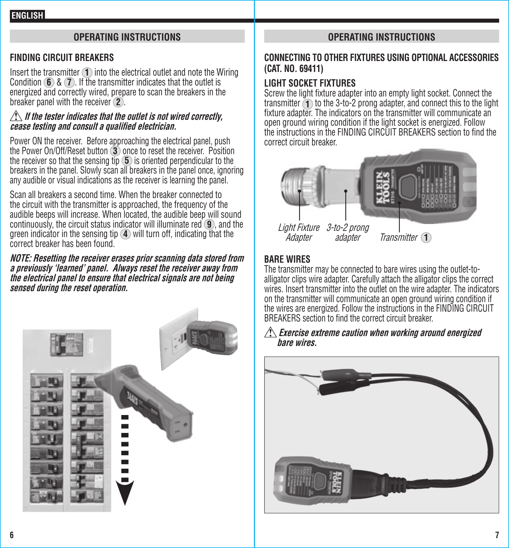#### **OPERATING INSTRUCTIONS**

#### **FINDING CIRCUIT BREAKERS**

Insert the transmitter **1** into the electrical outlet and note the Wiring Condition **6** & **7** . If the transmitter indicates that the outlet is energized and correctly wired, prepare to scan the breakers in the breaker panel with the receiver **2** .

#### *A* **If the tester indicates that the outlet is not wired correctly. cease testing and consult a qualified electrician.**

Power ON the receiver. Before approaching the electrical panel, push the Power On/Off/Reset button **3** once to reset the receiver. Position the receiver so that the sensing tip **5** is oriented perpendicular to the breakers in the panel. Slowly scan all breakers in the panel once, ignoring any audible or visual indications as the receiver is learning the panel.

Scan all breakers a second time. When the breaker connected to the circuit with the transmitter is approached, the frequency of the audible beeps will increase. When located, the audible beep will sound continuously, the circuit status indicator will illuminate red **9** , and the green indicator in the sensing tip **4** will turn off, indicating that the correct breaker has been found.

**NOTE: Resetting the receiver erases prior scanning data stored from a previously 'learned' panel. Always reset the receiver away from the electrical panel to ensure that electrical signals are not being sensed during the reset operation.**



#### **OPERATING INSTRUCTIONS**

#### **CONNECTING TO OTHER FIXTURES USING OPTIONAL ACCESSORIES (CAT. NO. 69411)**

#### **LIGHT SOCKET FIXTURES**

Screw the light fixture adapter into an empty light socket. Connect the transmitter **1** to the 3-to-2 prong adapter, and connect this to the light fixture adapter. The indicators on the transmitter will communicate an open ground wiring condition if the light socket is energized. Follow the instructions in the FINDING CIRCUIT BREAKERS section to find the correct circuit breaker.



**Adapter** 

adapter Transmitter **1**

#### **BARE WIRES**

The transmitter may be connected to bare wires using the outlet-toalligator clips wire adapter. Carefully attach the alligator clips the correct wires. Insert transmitter into the outlet on the wire adapter. The indicators on the transmitter will communicate an open ground wiring condition if the wires are energized. Follow the instructions in the FINDING CIRCUIT BREAKERS section to find the correct circuit breaker.

#### **Exercise extreme caution when working around energized bare wires.**

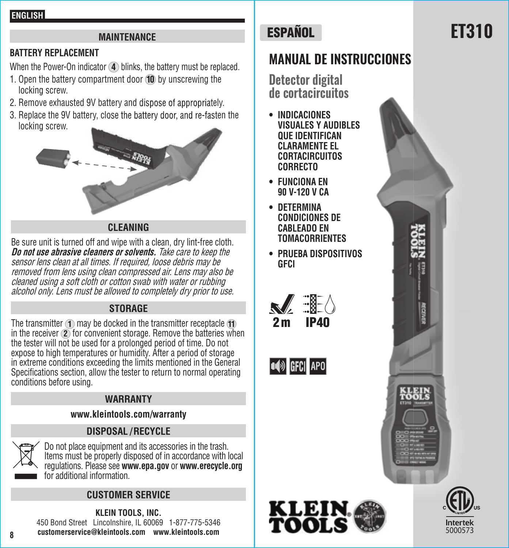#### **MAINTENANCE**

#### **BATTERY REPLACEMENT**

When the Power-On indicator **4** blinks, the battery must be replaced.

- 1. Open the battery compartment door **10** by unscrewing the locking screw.
- 2. Remove exhausted 9V battery and dispose of appropriately.
- 3. Replace the 9V battery, close the battery door, and re-fasten the locking screw.



#### **CLEANING**

Be sure unit is turned off and wipe with a clean, dry lint-free cloth. **Do not use abrasive cleaners or solvents.** Take care to keep the sensor lens clean at all times. If required, loose debris may be removed from lens using clean compressed air. Lens may also be cleaned using a soft cloth or cotton swab with water or rubbing alcohol only. Lens must be allowed to completely dry prior to use.

#### **STORAGE**

The transmitter **1** may be docked in the transmitter receptacle **11** in the receiver **2** for convenient storage. Remove the batteries when the tester will not be used for a prolonged period of time. Do not expose to high temperatures or humidity. After a period of storage in extreme conditions exceeding the limits mentioned in the General Specifications section, allow the tester to return to normal operating conditions before using.

#### **WARRANTY**

#### **www.kleintools.com/warranty**

#### **DISPOSAL / RECYCLE**



**8**

Do not place equipment and its accessories in the trash. Items must be properly disposed of in accordance with local regulations. Please see **www.epa.gov** or **www.erecycle.org** for additional information.

#### **CUSTOMER SERVICE**

**KLEIN TOOLS, INC.**  450 Bond Street Lincolnshire, IL 60069 1-877-775-5346 **customerservice@kleintools.com www.kleintools.com**

## **ESPAÑOL**

## **MANUAL DE INSTRUCCIONES**

**Detector digital de cortacircuitos**

- **INDICACIONES VISUALES Y AUDIBLES QUE IDENTIFICAN CLARAMENTE EL CORTACIRCUITOS CORRECTO**
- **FUNCIONA EN 90 V-120 V CA**
- **DETERMINA CONDICIONES DE CABLEADO EN TOMACORRIENTES**
- **PRUEBA DISPOSITIVOS GFCI**











## **ET310**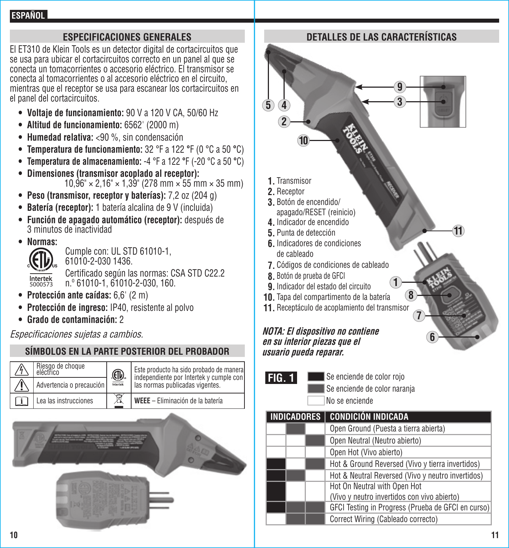#### **ESPECIFICACIONES GENERALES**

El ET310 de Klein Tools es un detector digital de cortacircuitos que se usa para ubicar el cortacircuitos correcto en un panel al que se conecta un tomacorrientes o accesorio eléctrico. El transmisor se conecta al tomacorrientes o al accesorio eléctrico en el circuito, mientras que el receptor se usa para escanear los cortacircuitos en el panel del cortacircuitos.

- **Voltaje de funcionamiento:** 90 V a 120 V CA, 50/60 Hz
- **Altitud de funcionamiento:** 6562' (2000 m)
- **Humedad relativa:** <90 %, sin condensación
- **Temperatura de funcionamiento:** 32 °F a 122 **°**F (0 °C a 50 **°**C)
- **Temperatura de almacenamiento:** -4 °F a 122 **°**F (-20 °C a 50 **°**C)
- **Dimensiones (transmisor acoplado al receptor):**   $10,96" \times 2,16" \times 1,39"$  (278 mm  $\times$  55 mm  $\times$  35 mm)
- **Peso (transmisor, receptor y baterías):** 7,2 oz (204 g)
- **Batería (receptor):** 1 batería alcalina de 9 V (incluida)
- **Función de apagado automático (receptor):** después de 3 minutos de inactividad
- **Normas:**



 Cumple con: UL STD 61010-1, 61010-2-030 1436. Certificado según las normas: CSA STD C22.2

n.º 61010-1, 61010-2-030, 160.

Intertek<br>5000573

- **Protección ante caídas:** 6,6' (2 m)
- **Protección de ingreso:** IP40, resistente al polvo
- **Grado de contaminación:** 2

Especificaciones sujetas a cambios.

#### **SÍMBOLOS EN LA PARTE POSTERIOR DEL PROBADOR**

| Riesgo de choque<br>eléctrico | <b><u></u></b><br>Intertek | Este producto ha sido probado de manera<br>independiente por Intertek y cumple con<br>las normas publicadas vigentes. |
|-------------------------------|----------------------------|-----------------------------------------------------------------------------------------------------------------------|
| Advertencia o precaución      |                            |                                                                                                                       |
| Lea las instrucciones         | Ī                          | WEEE - Eliminación de la batería                                                                                      |



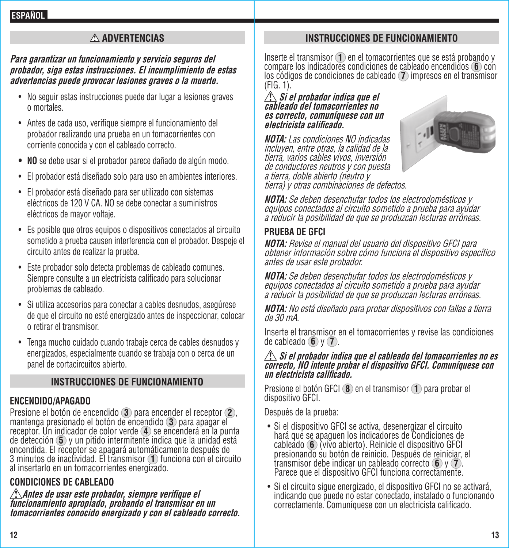#### **ADVERTENCIAS**

#### **Para garantizar un funcionamiento y servicio seguros del probador, siga estas instrucciones. El incumplimiento de estas advertencias puede provocar lesiones graves o la muerte.**

- No seguir estas instrucciones puede dar lugar a lesiones graves o mortales.
- Antes de cada uso, verifique siempre el funcionamiento del probador realizando una prueba en un tomacorrientes con corriente conocida y con el cableado correcto.
- **• NO** se debe usar si el probador parece dañado de algún modo.
- El probador está diseñado solo para uso en ambientes interiores.
- El probador está diseñado para ser utilizado con sistemas eléctricos de 120 V CA. NO se debe conectar a suministros eléctricos de mayor voltaje.
- Es posible que otros equipos o dispositivos conectados al circuito sometido a prueba causen interferencia con el probador. Despeje el circuito antes de realizar la prueba.
- Este probador solo detecta problemas de cableado comunes. Siempre consulte a un electricista calificado para solucionar problemas de cableado.
- Si utiliza accesorios para conectar a cables desnudos, asegúrese de que el circuito no esté energizado antes de inspeccionar, colocar o retirar el transmisor.
- Tenga mucho cuidado cuando trabaje cerca de cables desnudos y energizados, especialmente cuando se trabaja con o cerca de un panel de cortacircuitos abierto.

#### **INSTRUCCIONES DE FUNCIONAMIENTO**

#### **ENCENDIDO/APAGADO**

Presione el botón de encendido **<sup>3</sup>** para encender el receptor **<sup>2</sup>** , mantenga presionado el botón de encendido **<sup>3</sup>** para apagar el receptor. Un indicador de color verde **<sup>4</sup>** se encenderá en la punta de detección **<sup>5</sup>** y un pitido intermitente indica que la unidad está encendida. El receptor se apagará automáticamente después de 3 minutos de inactividad. El transmisor **1** funciona con el circuito al insertarlo en un tomacorrientes energizado.

#### **CONDICIONES DE CABLEADO**

**Antes de usar este probador, siempre verifique el funcionamiento apropiado, probando el transmisor en un tomacorrientes conocido energizado y con el cableado correcto.**

#### **INSTRUCCIONES DE FUNCIONAMIENTO**

Inserte el transmisor **1** en el tomacorrientes que se está probando y compare los indicadores condiciones de cableado encendidos **6** con los códigos de condiciones de cableado **<sup>7</sup>** impresos en el transmisor (FIG. 1).

#### **Si el probador indica que el cableado del tomacorrientes no es correcto, comuníquese con un electricista calificado.**

**NOTA:** Las condiciones NO indicadas incluyen, entre otras, la calidad de la tierra, varios cables vivos, inversión de conductores neutros y con puesta a tierra, doble abierto (neutro y tierra) y otras combinaciones de defectos.



**NOTA:** Se deben desenchufar todos los electrodomésticos y equipos conectados al circuito sometido a prueba para ayudar a reducir la posibilidad de que se produzcan lecturas erróneas.

#### **PRUEBA DE GFCI**

**NOTA:** Revise el manual del usuario del dispositivo GFCI para obtener información sobre cómo funciona el dispositivo específico antes de usar este probador.

**NOTA:** Se deben desenchufar todos los electrodomésticos y equipos conectados al circuito sometido a prueba para ayudar a reducir la posibilidad de que se produzcan lecturas erróneas.

**NOTA:** No está diseñado para probar dispositivos con fallas a tierra de 30 mA.

Inserte el transmisor en el tomacorrientes y revise las condiciones de cableado **6** y **7** .

## **Si el probador indica que el cableado del tomacorrientes no es correcto, NO intente probar el dispositivo GFCI. Comuníquese con un electricista calificado.**

Presione el botón GFCI **<sup>8</sup>** en el transmisor **<sup>1</sup>** para probar el dispositivo GFCI.

Después de la prueba:

- Si el dispositivo GFCI se activa, desenergizar el circuito hará que se apaguen los indicadores de Condiciones de presionando su botón de reinicio. Después de reiniciar, el<br>transmisor debe indicar un cableado correcto **6** v **7**. Parece que el dispositivo GFCI funciona correctamente.
- Si el circuito sigue energizado, el dispositivo GFCI no se activará, indicando que puede no estar conectado, instalado o funcionando correctamente. Comuníquese con un electricista calificado.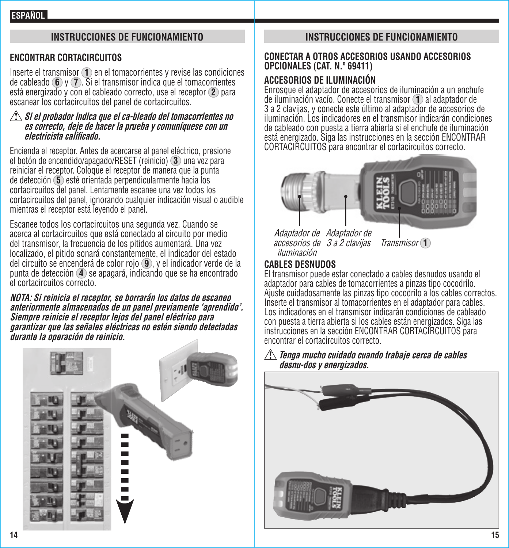#### **INSTRUCCIONES DE FUNCIONAMIENTO**

#### **ENCONTRAR CORTACIRCUITOS**

Inserte el transmisor **1** en el tomacorrientes y revise las condiciones de cableado **6** y **7** . Si el transmisor indica que el tomacorrientes está energizado y con el cableado correcto, use el receptor **2** para escanear los cortacircuitos del panel de cortacircuitos.

#### **Si el probador indica que el ca-bleado del tomacorrientes no es correcto, deje de hacer la prueba y comuníquese con un electricista califi cado.**

Encienda el receptor. Antes de acercarse al panel eléctrico, presione el botón de encendido/apagado/RESET (reinicio) **3** una vez para reiniciar el receptor. Coloque el receptor de manera que la punta de detección **5** esté orientada perpendicularmente hacia los cortacircuitos del panel. Lentamente escanee una vez todos los cortacircuitos del panel, ignorando cualquier indicación visual o audible mientras el receptor está leyendo el panel.

Escanee todos los cortacircuitos una segunda vez. Cuando se acerca al cortacircuitos que está conectado al circuito por medio del transmisor, la frecuencia de los pitidos aumentará. Una vez localizado, el pitido sonará constantemente, el indicador del estado del circuito se encenderá de color rojo **9** , y el indicador verde de la punta de detección **4** se apagará, indicando que se ha encontrado el cortacircuitos correcto.

**NOTA: Si reinicia el receptor, se borrarán los datos de escaneo anteriormente almacenados de un panel previamente 'aprendido'. Siempre reinicie el receptor lejos del panel eléctrico para garantizar que las señales eléctricas no estén siendo detectadas durante la operación de reinicio.**



#### **INSTRUCCIONES DE FUNCIONAMIENTO**

#### **CONECTAR A OTROS ACCESORIOS USANDO ACCESORIOS OPCIONALES (CAT. N.º 69411)**

#### **ACCESORIOS DE ILUMINACIÓN**

Enrosque el adaptador de accesorios de iluminación a un enchufe de iluminación vacío. Conecte el transmisor **1** al adaptador de 3 a 2 clavijas, y conecte este último al adaptador de accesorios de iluminación. Los indicadores en el transmisor indicarán condiciones de cableado con puesta a tierra abierta si el enchufe de iluminación está energizado. Siga las instrucciones en la sección ENCONTRAR CORTACIRCUITOS para encontrar el cortacircuitos correcto.



Adaptador de Adaptador de accesorios de iluminación

**Transmisor 1** 

#### **CABLES DESNUDOS**

El transmisor puede estar conectado a cables desnudos usando el adaptador para cables de tomacorrientes a pinzas tipo cocodrilo. Ajuste cuidadosamente las pinzas tipo cocodrilo a los cables correctos. Inserte el transmisor al tomacorrientes en el adaptador para cables. Los indicadores en el transmisor indicarán condiciones de cableado con puesta a tierra abierta si los cables están energizados. Siga las instrucciones en la sección ENCONTRAR CORTACIRCUITOS para encontrar el cortacircuitos correcto.

#### **Tenga mucho cuidado cuando trabaje cerca de cables desnu-dos y energizados.**

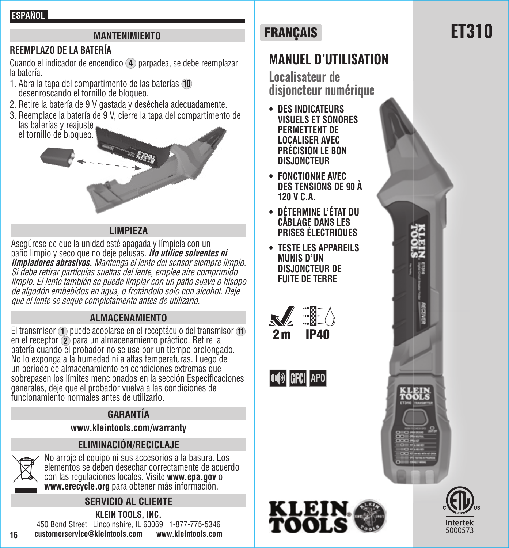#### **ESPAÑOL**

#### **MANTENIMIENTO**

#### **REEMPLAZO DE LA BATERÍA**

Cuando el indicador de encendido **4** parpadea, se debe reemplazar la batería.

- 1. Abra la tapa del compartimento de las baterías **10** desenroscando el tornillo de bloqueo.
- 2. Retire la batería de 9 V gastada y deséchela adecuadamente.
- 3. Reemplace la batería de 9 V, cierre la tapa del compartimento de las baterías y reajuste el tornillo de bloqueo.



#### **LIMPIEZA**

Asegúrese de que la unidad esté apagada y límpiela con un paño limpio y seco que no deje pelusas. **No utilice solventes ni limpiadores abrasivos.** Mantenga el lente del sensor siempre limpio. Si debe retirar partículas sueltas del lente, emplee aire comprimido limpio. El lente también se puede limpiar con un paño suave o hisopo de algodón embebidos en agua, o frotándolo solo con alcohol. Deje que el lente se seque completamente antes de utilizarlo.

#### **ALMACENAMIENTO**

El transmisor **1** puede acoplarse en el receptáculo del transmisor **11** en el receptor **2** para un almacenamiento práctico. Retire la batería cuando el probador no se use por un tiempo prolongado. No lo exponga a la humedad ni a altas temperaturas. Luego de un período de almacenamiento en condiciones extremas que sobrepasen los límites mencionados en la sección Especificaciones generales, deje que el probador vuelva a las condiciones de funcionamiento normales antes de utilizarlo.

#### **GARANTÍA**

**www.kleintools.com/warranty**

#### **ELIMINACIÓN/RECICLAJE**



**16**

No arroje el equipo ni sus accesorios a la basura. Los elementos se deben desechar correctamente de acuerdo con las regulaciones locales. Visite **www.epa.gov** o **www.erecycle.org** para obtener más información.

#### **SERVICIO AL CLIENTE**

**KLEIN TOOLS, INC.**  450 Bond Street Lincolnshire, IL 60069 1-877-775-5346 **customerservice@kleintools.com www.kleintools.com**

## **MANUEL D'UTILISATION**

**Localisateur de disjoncteur numérique**

- **DES INDICATEURS VISUELS ET SONORES PERMETTENT DE LOCALISER AVEC PRÉCISION LE BON DISJONCTEUR**
- **FONCTIONNE AVEC DES TENSIONS DE 90 À 120 V C.A.**
- **DÉTERMINE L'ÉTAT DU CÂBLAGE DANS LES PRISES ÉLECTRIQUES**
- **TESTE LES APPAREILS MUNIS D'UN DISJONCTEUR DE FUITE DE TERRE**







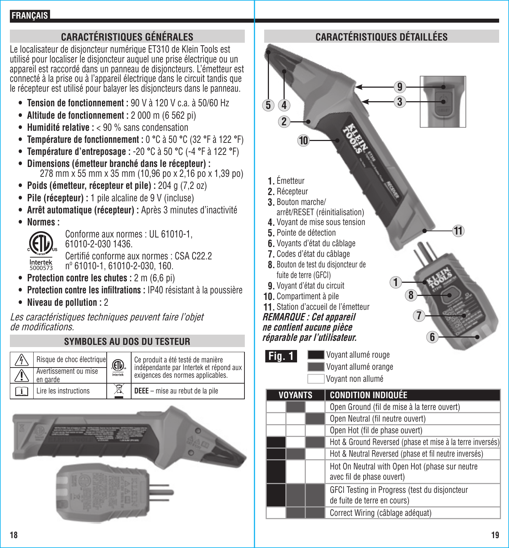#### **CARACTÉRISTIQUES GÉNÉRALES**

Le localisateur de disjoncteur numérique ET310 de Klein Tools est utilisé pour localiser le disjoncteur auquel une prise électrique ou un appareil est raccordé dans un panneau de disjoncteurs. L'émetteur est connecté à la prise ou à l'appareil électrique dans le circuit tandis que le récepteur est utilisé pour balayer les disjoncteurs dans le panneau.

- **Tension de fonctionnement :** 90 V à 120 V c.a. à 50/60 Hz
- **Altitude de fonctionnement :** 2 000 m (6 562 pi)
- **Humidité relative :** < 90 % sans condensation
- **Température de fonctionnement :** 0 **°**C à 50 **°**C (32 **°**F à 122 **°**F)
- **Température d'entreposage :** -20 **°**C à 50 **°**C (-4 **°**F à 122 **°**F)
- **Dimensions (émetteur branché dans le récepteur) :**  278 mm x 55 mm x 35 mm (10,96 po x 2,16 po x 1,39 po)
- **Poids (émetteur, récepteur et pile) :** 204 g (7,2 oz)
- **Pile (récepteur) :** 1 pile alcaline de 9 V (incluse)
- **Arrêt automatique (récepteur) :** Après 3 minutes d'inactivité
- **Normes :**



 Conforme aux normes : UL 61010-1, 61010-2-030 1436.

 Certifié conforme aux normes : CSA C22.2 nº 61010-1, 61010-2-030, 160.

- **Protection contre les chutes :** 2 m (6,6 pi)
- **Protection contre les infiltrations : IP40 résistant à la poussière**
- **Niveau de pollution :** 2

Les caractéristiques techniques peuvent faire l'objet de modifications.

#### **SYMBOLES AU DOS DU TESTEUR**

| Risque de choc électrique         | <b>⊕</b><br>ntertek | Ce produit a été testé de manière<br>indépendante par Intertek et répond aux<br>exigences des normes applicables. |
|-----------------------------------|---------------------|-------------------------------------------------------------------------------------------------------------------|
| Avertissement ou mise<br>en garde |                     |                                                                                                                   |
| Lire les instructions             |                     | <b>DEEE</b> - mise au rebut de la pile                                                                            |



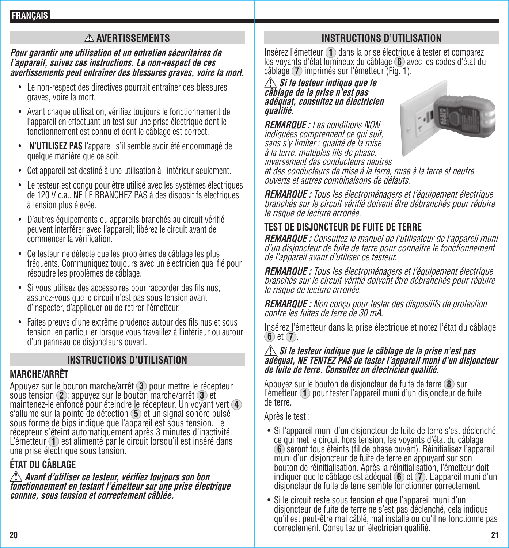#### **AVERTISSEMENTS**

#### **Pour garantir une utilisation et un entretien sécuritaires de l'appareil, suivez ces instructions. Le non-respect de ces avertissements peut entraîner des blessures graves, voire la mort.**

- Le non-respect des directives pourrait entraîner des blessures graves, voire la mort.
- Avant chaque utilisation, vérifiez toujours le fonctionnement de l'appareil en effectuant un test sur une prise électrique dont le fonctionnement est connu et dont le câblage est correct.
- **N'UTILISEZ PAS** l'appareil s'il semble avoir été endommagé de quelque manière que ce soit.
- Cet appareil est destiné à une utilisation à l'intérieur seulement.
- Le testeur est conçu pour être utilisé avec les systèmes électriques de 120 V c.a.. NE LE BRANCHEZ PAS à des dispositifs électriques à tension plus élevée.
- D'autres équipements ou appareils branchés au circuit vérifié peuvent interférer avec l'appareil; libérez le circuit avant de commencer la vérification.
- Ce testeur ne détecte que les problèmes de câblage les plus fréquents. Communiquez toujours avec un électricien qualifié pour résoudre les problèmes de câblage.
- Si vous utilisez des accessoires pour raccorder des fils nus, assurez-vous que le circuit n'est pas sous tension avant d'inspecter, d'appliquer ou de retirer l'émetteur.
- Faites preuve d'une extrême prudence autour des fils nus et sous tension, en particulier lorsque vous travaillez à l'intérieur ou autour d'un panneau de disjoncteurs ouvert.

#### **INSTRUCTIONS D'UTILISATION**

### **MARCHE/ARRÊT**

Appuyez sur le bouton marche/arrêt **3** pour mettre le récepteur sous tension **2** ; appuyez sur le bouton marche/arrêt **3** et maintenez-le enfoncé pour éteindre le récepteur. Un voyant vert **4** sous forme de bips indique que l'appareil est sous tension. Le récepteur s'éteint automatiquement après 3 minutes d'inactivité. L'émetteur **<sup>1</sup>** est alimenté par le circuit lorsqu'il est inséré dans une prise électrique sous tension.

### **ÉTAT DU CÂBLAGE**

**Avant d'utiliser ce testeur, vérifiez toujours son bon fonctionnement en testant l'émetteur sur une prise électrique connue, sous tension et correctement câblée.**

#### **INSTRUCTIONS D'UTILISATION**

Insérez l'émetteur **<sup>1</sup>** dans la prise électrique à tester et comparez les voyants d'état lumineux du câblage **<sup>6</sup>** avec les codes d'état du câblage **7** imprimés sur l'émetteur (Fig. 1).

#### **Si le testeur indique que le câblage de la prise n'est pas adéquat, consultez un électricien qualifié.**

**REMARQUE :** Les conditions NON indiquées comprennent ce qui suit, sans s'y limiter : qualité de la mise à la terre, multiples fils de phase, inversement des conducteurs neutres



et des conducteurs de mise à la terre, mise à la terre et neutre ouverts et autres combinaisons de défauts.

**REMARQUE :** Tous les électroménagers et l'équipement électrique branchés sur le circuit vérifié doivent être débranchés pour réduire le risque de lecture erronée.

#### **TEST DE DISJONCTEUR DE FUITE DE TERRE**

**REMARQUE :** Consultez le manuel de l'utilisateur de l'appareil muni d'un disjoncteur de fuite de terre pour connaître le fonctionnement de l'appareil avant d'utiliser ce testeur.

**REMARQUE :** Tous les électroménagers et l'équipement électrique branchés sur le circuit vérifié doivent être débranchés pour réduire le risque de lecture erronée.

**REMARQUE :** Non conçu pour tester des dispositifs de protection contre les fuites de terre de 30 mA.

Insérez l'émetteur dans la prise électrique et notez l'état du câblage **6** et **7** .

## **Si le testeur indique que le câblage de la prise n'est pas adéquat, NE TENTEZ PAS de tester l'appareil muni d'un disjoncteur de fuite de terre. Consultez un électricien qualifié.**

Appuyez sur le bouton de disjoncteur de fuite de terre **8** sur l'émetteur **1** pour tester l'appareil muni d'un disjoncteur de fuite de terre.

Après le test :

- Si l'appareil muni d'un disjoncteur de fuite de terre s'est déclenché, ce qui met le circuit hors tension, les voyants d'état du câblage<br>6 seront tous éteints (fil de phase ouvert). Réinitialisez l'appareil muni d'un disjoncteur de fuite de terre en appuyant sur son bouton de réinitialisation. Après la réinitialisation, l'émetteur doit indiquer que le câblage est adéquat **6** et **7** . L'appareil muni d'un disjoncteur de fuite de terre semble fonctionner correctement.
- **20 21** • Si le circuit reste sous tension et que l'appareil muni d'un disjoncteur de fuite de terre ne s'est pas déclenché, cela indique qu'il est peut-être mal câblé, mal installé ou qu'il ne fonctionne pas correctement. Consultez un électricien qualifié.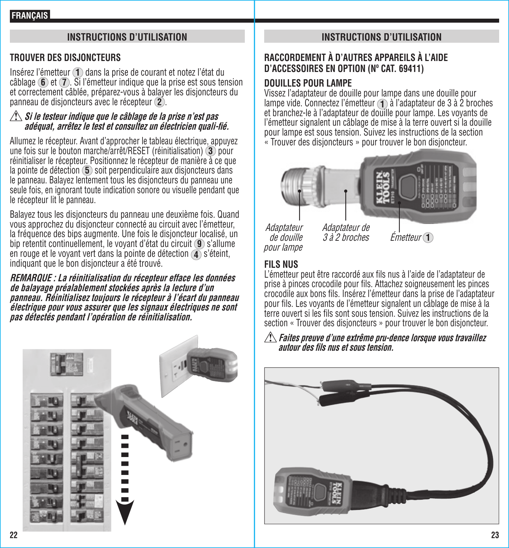#### **INSTRUCTIONS D'UTILISATION**

#### **TROUVER DES DISJONCTEURS**

Insérez l'émetteur **1** dans la prise de courant et notez l'état du câblage **6** et **7** . Si l'émetteur indique que la prise est sous tension et correctement câblée, préparez-vous à balayer les disjoncteurs du panneau de disjoncteurs avec le récepteur **2** .

#### **Si le testeur indique que le câblage de la prise n'est pas**  adéquat, arrêtez le test et consultez un électricien quali-fié.

Allumez le récepteur. Avant d'approcher le tableau électrique, appuyez une fois sur le bouton marche/arrêt/RESET (réinitialisation) **3** pour réinitialiser le récepteur. Positionnez le récepteur de manière à ce que la pointe de détection **5** soit perpendiculaire aux disjoncteurs dans le panneau. Balayez lentement tous les disjoncteurs du panneau une seule fois, en ignorant toute indication sonore ou visuelle pendant que le récepteur lit le panneau.

Balayez tous les disjoncteurs du panneau une deuxième fois. Quand vous approchez du disjoncteur connecté au circuit avec l'émetteur, la fréquence des bips augmente. Une fois le disjoncteur localisé, un bip retentit continuellement, le voyant d'état du circuit **9** s'allume en rouge et le voyant vert dans la pointe de détection **4** s'éteint, indiquant que le bon disjoncteur a été trouvé.

**REMARQUE : La réinitialisation du récepteur efface les données de balayage préalablement stockées après la lecture d'un panneau. Réinitialisez toujours le récepteur à l'écart du panneau électrique pour vous assurer que les signaux électriques ne sont pas détectés pendant l'opération de réinitialisation.**



#### **INSTRUCTIONS D'UTILISATION**

#### **RACCORDEMENT À D'AUTRES APPAREILS À L'AIDE D'ACCESSOIRES EN OPTION (Nº CAT. 69411)**

#### **DOUILLES POUR LAMPE**

Vissez l'adaptateur de douille pour lampe dans une douille pour lampe vide. Connectez l'émetteur **1** à l'adaptateur de 3 à 2 broches et branchez-le à l'adaptateur de douille pour lampe. Les voyants de l'émetteur signalent un câblage de mise à la terre ouvert si la douille pour lampe est sous tension. Suivez les instructions de la section « Trouver des disjoncteurs » pour trouver le bon disjoncteur.



Adaptateur de

Adaptateur de douille pour lampe

3 à 2 broches Émetteur **1**

#### **FILS NUS**

L'émetteur peut être raccordé aux fils nus à l'aide de l'adaptateur de prise à pinces crocodile pour fils. Attachez soigneusement les pinces crocodile aux bons fils. Insérez l'émetteur dans la prise de l'adaptateur pour fils. Les voyants de l'émetteur signalent un câblage de mise à la terre ouvert si les fils sont sous tension. Suivez les instructions de la section « Trouver des disjoncteurs » pour trouver le bon disjoncteur.

#### **Faites preuve d'une extrême pru-dence lorsque vous travaillez autour des fi ls nus et sous tension.**